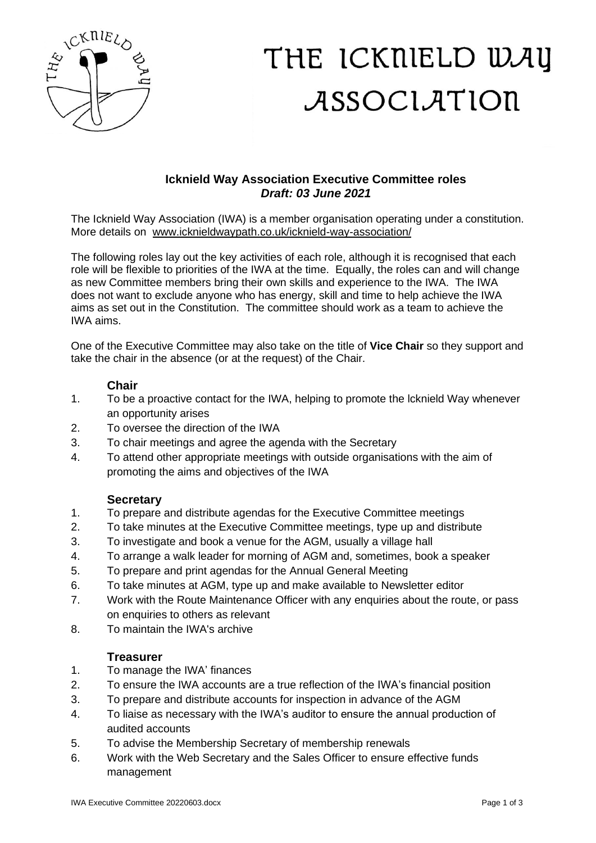

# THE ICKNIELD WAY ASSOCIATION

## **Icknield Way Association Executive Committee roles** *Draft: 03 June 2021*

The Icknield Way Association (IWA) is a member organisation operating under a constitution. More details on [www.icknieldwaypath.co.uk/icknield-way-association/](http://www.icknieldwaypath.co.uk/icknield-way-association/)

The following roles lay out the key activities of each role, although it is recognised that each role will be flexible to priorities of the IWA at the time. Equally, the roles can and will change as new Committee members bring their own skills and experience to the IWA. The IWA does not want to exclude anyone who has energy, skill and time to help achieve the IWA aims as set out in the Constitution. The committee should work as a team to achieve the IWA aims.

One of the Executive Committee may also take on the title of **Vice Chair** so they support and take the chair in the absence (or at the request) of the Chair.

### **Chair**

- 1. To be a proactive contact for the IWA, helping to promote the lcknield Way whenever an opportunity arises
- 2. To oversee the direction of the IWA
- 3. To chair meetings and agree the agenda with the Secretary
- 4. To attend other appropriate meetings with outside organisations with the aim of promoting the aims and objectives of the IWA

#### **Secretary**

- 1. To prepare and distribute agendas for the Executive Committee meetings
- 2. To take minutes at the Executive Committee meetings, type up and distribute
- 3. To investigate and book a venue for the AGM, usually a village hall
- 4. To arrange a walk leader for morning of AGM and, sometimes, book a speaker
- 5. To prepare and print agendas for the Annual General Meeting
- 6. To take minutes at AGM, type up and make available to Newsletter editor
- 7. Work with the Route Maintenance Officer with any enquiries about the route, or pass on enquiries to others as relevant
- 8. To maintain the IWA's archive

#### **Treasurer**

- 1. To manage the IWA' finances
- 2. To ensure the IWA accounts are a true reflection of the IWA's financial position
- 3. To prepare and distribute accounts for inspection in advance of the AGM
- 4. To liaise as necessary with the IWA's auditor to ensure the annual production of audited accounts
- 5. To advise the Membership Secretary of membership renewals
- 6. Work with the Web Secretary and the Sales Officer to ensure effective funds management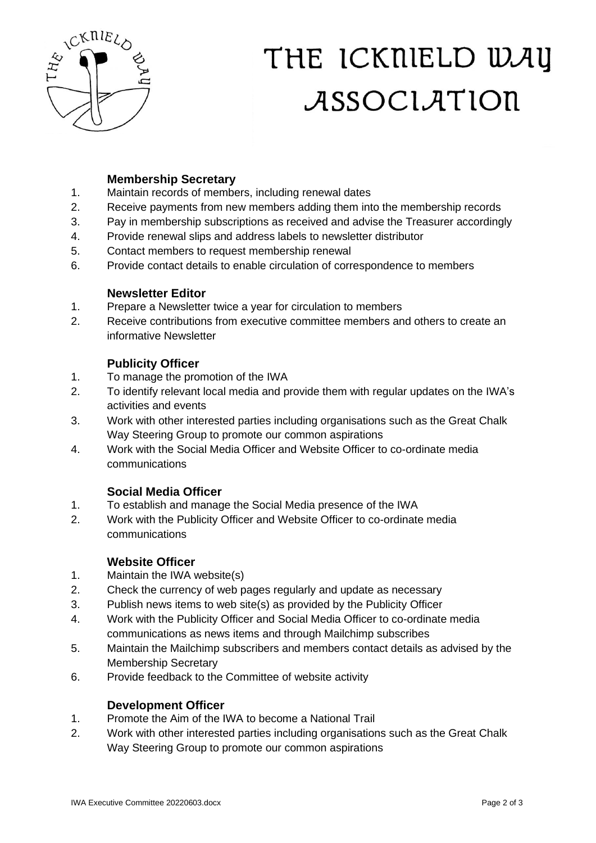

# THE ICKNIELD WAY ASSOCIATION

## **Membership Secretary**

- 1. Maintain records of members, including renewal dates
- 2. Receive payments from new members adding them into the membership records
- 3. Pay in membership subscriptions as received and advise the Treasurer accordingly
- 4. Provide renewal slips and address labels to newsletter distributor
- 5. Contact members to request membership renewal
- 6. Provide contact details to enable circulation of correspondence to members

#### **Newsletter Editor**

- 1. Prepare a Newsletter twice a year for circulation to members
- 2. Receive contributions from executive committee members and others to create an informative Newsletter

### **Publicity Officer**

- 1. To manage the promotion of the IWA
- 2. To identify relevant local media and provide them with regular updates on the IWA's activities and events
- 3. Work with other interested parties including organisations such as the Great Chalk Way Steering Group to promote our common aspirations
- 4. Work with the Social Media Officer and Website Officer to co-ordinate media communications

### **Social Media Officer**

- 1. To establish and manage the Social Media presence of the IWA
- 2. Work with the Publicity Officer and Website Officer to co-ordinate media communications

### **Website Officer**

- 1. Maintain the IWA website(s)
- 2. Check the currency of web pages regularly and update as necessary
- 3. Publish news items to web site(s) as provided by the Publicity Officer
- 4. Work with the Publicity Officer and Social Media Officer to co-ordinate media communications as news items and through Mailchimp subscribes
- 5. Maintain the Mailchimp subscribers and members contact details as advised by the Membership Secretary
- 6. Provide feedback to the Committee of website activity

### **Development Officer**

- 1. Promote the Aim of the IWA to become a National Trail
- 2. Work with other interested parties including organisations such as the Great Chalk Way Steering Group to promote our common aspirations